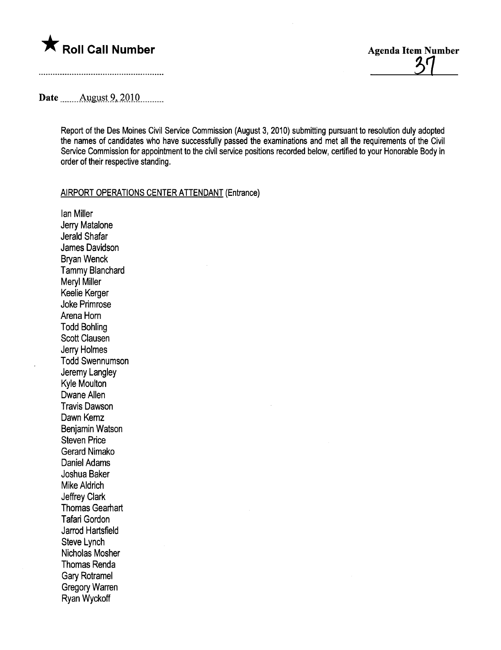

2٢

Date . \_\_\_ \_\_. AllgllSt- 9 -,\_\_L.Q l- Q \_\_ \_\_ \_\_\_\_

Report of the Des Moines Civil Service Commission (August 3, 2010) submitting pursuant to resolution duly adopted the names of candidates who have successfully passed the examinations and met all the requirements of the Civil Service Commission for appointment to the civil service positions recorded below, certified to your Honorable Body in order of their respective standing.

## AIRPORT OPERATIONS CENTER ATTENDANT (Entrance)

Ian Miler Jerry Matalone Jerald Shafar James Davidson Bryan Wenck Tammy Blanchard Meryl Miller Keelie Kerger Joke Primrose Arena Horn Todd Bohling Scott Clausen Jerry Holmes Todd Swennumson Jeremy Langley Kyle Moulton Dwane Allen Travis Dawson Dawn Kemz Benjamin Watson Steven Price Gerard Nimako Daniel Adams Joshua Baker Mike Aldrich Jeffrey Clark Thomas Gearhart **Tafari Gordon** Jarrod Hartsfield Steve Lynch Nicholas Mosher Thomas Renda Gary Rotramel Gregory Warren Ryan Wyckoff